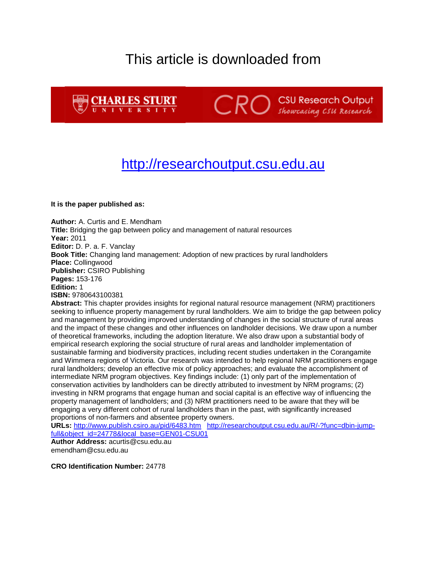# This article is downloaded from





**CRO** Showcasing CSU Research

# [http://researchoutput.csu.edu.au](http://researchoutput.csu.edu.au/)

**It is the paper published as:**

**Author:** A. Curtis and E. Mendham **Title:** Bridging the gap between policy and management of natural resources **Year:** 2011 **Editor:** D. P. a. F. Vanclay **Book Title:** Changing land management: Adoption of new practices by rural landholders **Place:** Collingwood **Publisher:** CSIRO Publishing **Pages:** 153-176 **Edition:** 1 **ISBN:** 9780643100381

**Abstract:** This chapter provides insights for regional natural resource management (NRM) practitioners seeking to influence property management by rural landholders. We aim to bridge the gap between policy and management by providing improved understanding of changes in the social structure of rural areas and the impact of these changes and other influences on landholder decisions. We draw upon a number of theoretical frameworks, including the adoption literature. We also draw upon a substantial body of empirical research exploring the social structure of rural areas and landholder implementation of sustainable farming and biodiversity practices, including recent studies undertaken in the Corangamite and Wimmera regions of Victoria. Our research was intended to help regional NRM practitioners engage rural landholders; develop an effective mix of policy approaches; and evaluate the accomplishment of intermediate NRM program objectives. Key findings include: (1) only part of the implementation of conservation activities by landholders can be directly attributed to investment by NRM programs; (2) investing in NRM programs that engage human and social capital is an effective way of influencing the property management of landholders; and (3) NRM practitioners need to be aware that they will be engaging a very different cohort of rural landholders than in the past, with significantly increased proportions of non-farmers and absentee property owners.

**URLs:** <http://www.publish.csiro.au/pid/6483.htm>[http://researchoutput.csu.edu.au/R/-?func=dbin-jump](http://researchoutput.csu.edu.au/R/-?func=dbin-jump-full&object_id=24778&local_base=GEN01-CSU01)[full&object\\_id=24778&local\\_base=GEN01-CSU01](http://researchoutput.csu.edu.au/R/-?func=dbin-jump-full&object_id=24778&local_base=GEN01-CSU01)

**Author Address:** acurtis@csu.edu.au emendham@csu.edu.au

**CRO Identification Number:** 24778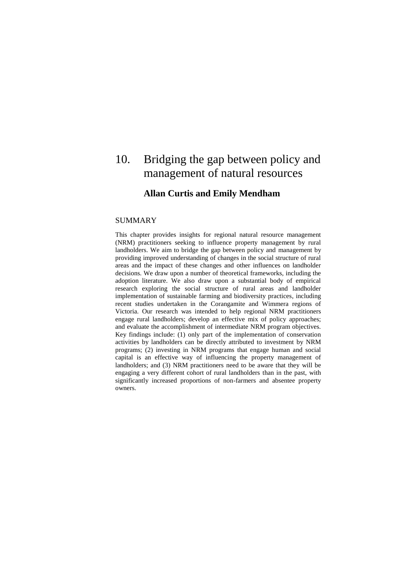# 10. Bridging the gap between policy and management of natural resources

# **Allan Curtis and Emily Mendham**

# SUMMARY

This chapter provides insights for regional natural resource management (NRM) practitioners seeking to influence property management by rural landholders. We aim to bridge the gap between policy and management by providing improved understanding of changes in the social structure of rural areas and the impact of these changes and other influences on landholder decisions. We draw upon a number of theoretical frameworks, including the adoption literature. We also draw upon a substantial body of empirical research exploring the social structure of rural areas and landholder implementation of sustainable farming and biodiversity practices, including recent studies undertaken in the Corangamite and Wimmera regions of Victoria. Our research was intended to help regional NRM practitioners engage rural landholders; develop an effective mix of policy approaches; and evaluate the accomplishment of intermediate NRM program objectives. Key findings include: (1) only part of the implementation of conservation activities by landholders can be directly attributed to investment by NRM programs; (2) investing in NRM programs that engage human and social capital is an effective way of influencing the property management of landholders; and (3) NRM practitioners need to be aware that they will be engaging a very different cohort of rural landholders than in the past, with significantly increased proportions of non-farmers and absentee property owners.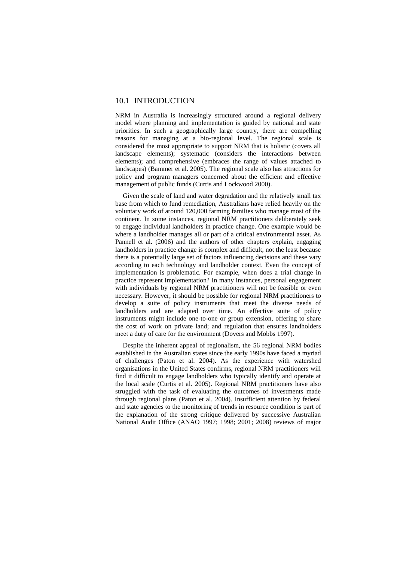# 10.1 INTRODUCTION

NRM in Australia is increasingly structured around a regional delivery model where planning and implementation is guided by national and state priorities. In such a geographically large country, there are compelling reasons for managing at a bio-regional level. The regional scale is considered the most appropriate to support NRM that is holistic (covers all landscape elements); systematic (considers the interactions between elements); and comprehensive (embraces the range of values attached to landscapes) (Bammer et al. 2005). The regional scale also has attractions for policy and program managers concerned about the efficient and effective management of public funds (Curtis and Lockwood 2000).

Given the scale of land and water degradation and the relatively small tax base from which to fund remediation, Australians have relied heavily on the voluntary work of around 120,000 farming families who manage most of the continent. In some instances, regional NRM practitioners deliberately seek to engage individual landholders in practice change. One example would be where a landholder manages all or part of a critical environmental asset. As Pannell et al. (2006) and the authors of other chapters explain, engaging landholders in practice change is complex and difficult, not the least because there is a potentially large set of factors influencing decisions and these vary according to each technology and landholder context. Even the concept of implementation is problematic. For example, when does a trial change in practice represent implementation? In many instances, personal engagement with individuals by regional NRM practitioners will not be feasible or even necessary. However, it should be possible for regional NRM practitioners to develop a suite of policy instruments that meet the diverse needs of landholders and are adapted over time. An effective suite of policy instruments might include one-to-one or group extension, offering to share the cost of work on private land; and regulation that ensures landholders meet a duty of care for the environment (Dovers and Mobbs 1997).

Despite the inherent appeal of regionalism, the 56 regional NRM bodies established in the Australian states since the early 1990s have faced a myriad of challenges (Paton et al. 2004). As the experience with watershed organisations in the United States confirms, regional NRM practitioners will find it difficult to engage landholders who typically identify and operate at the local scale (Curtis et al. 2005). Regional NRM practitioners have also struggled with the task of evaluating the outcomes of investments made through regional plans (Paton et al. 2004). Insufficient attention by federal and state agencies to the monitoring of trends in resource condition is part of the explanation of the strong critique delivered by successive Australian National Audit Office (ANAO 1997; 1998; 2001; 2008) reviews of major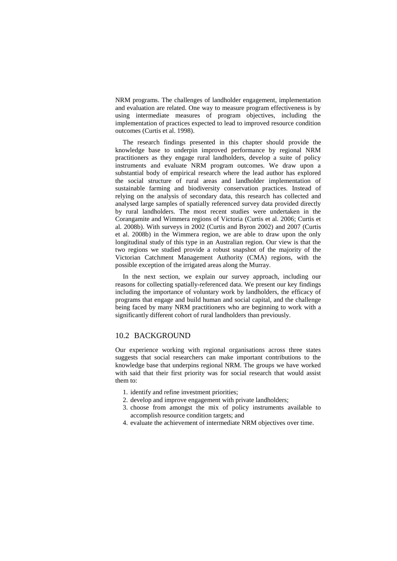NRM programs. The challenges of landholder engagement, implementation and evaluation are related. One way to measure program effectiveness is by using intermediate measures of program objectives, including the implementation of practices expected to lead to improved resource condition outcomes (Curtis et al. 1998).

The research findings presented in this chapter should provide the knowledge base to underpin improved performance by regional NRM practitioners as they engage rural landholders, develop a suite of policy instruments and evaluate NRM program outcomes. We draw upon a substantial body of empirical research where the lead author has explored the social structure of rural areas and landholder implementation of sustainable farming and biodiversity conservation practices. Instead of relying on the analysis of secondary data, this research has collected and analysed large samples of spatially referenced survey data provided directly by rural landholders. The most recent studies were undertaken in the Corangamite and Wimmera regions of Victoria (Curtis et al. 2006; Curtis et al. 2008b). With surveys in 2002 (Curtis and Byron 2002) and 2007 (Curtis et al. 2008b) in the Wimmera region, we are able to draw upon the only longitudinal study of this type in an Australian region. Our view is that the two regions we studied provide a robust snapshot of the majority of the Victorian Catchment Management Authority (CMA) regions, with the possible exception of the irrigated areas along the Murray.

In the next section, we explain our survey approach, including our reasons for collecting spatially-referenced data. We present our key findings including the importance of voluntary work by landholders, the efficacy of programs that engage and build human and social capital, and the challenge being faced by many NRM practitioners who are beginning to work with a significantly different cohort of rural landholders than previously.

# 10.2 BACKGROUND

Our experience working with regional organisations across three states suggests that social researchers can make important contributions to the knowledge base that underpins regional NRM. The groups we have worked with said that their first priority was for social research that would assist them to:

- 1. identify and refine investment priorities;
- 2. develop and improve engagement with private landholders;
- 3. choose from amongst the mix of policy instruments available to accomplish resource condition targets; and
- 4. evaluate the achievement of intermediate NRM objectives over time.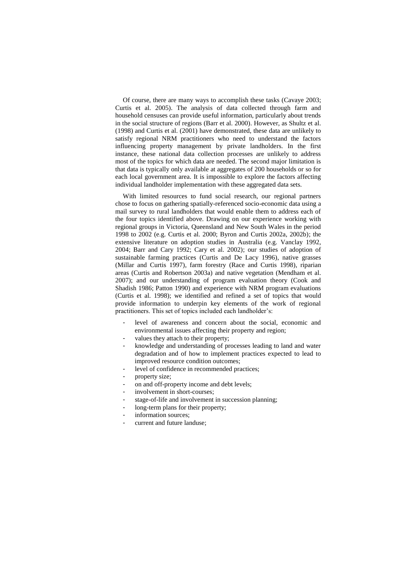Of course, there are many ways to accomplish these tasks (Cavaye 2003; Curtis et al. 2005). The analysis of data collected through farm and household censuses can provide useful information, particularly about trends in the social structure of regions (Barr et al. 2000). However, as Shultz et al. (1998) and Curtis et al. (2001) have demonstrated, these data are unlikely to satisfy regional NRM practitioners who need to understand the factors influencing property management by private landholders. In the first instance, these national data collection processes are unlikely to address most of the topics for which data are needed. The second major limitation is that data is typically only available at aggregates of 200 households or so for each local government area. It is impossible to explore the factors affecting individual landholder implementation with these aggregated data sets.

With limited resources to fund social research, our regional partners chose to focus on gathering spatially-referenced socio-economic data using a mail survey to rural landholders that would enable them to address each of the four topics identified above. Drawing on our experience working with regional groups in Victoria, Queensland and New South Wales in the period 1998 to 2002 (e.g. Curtis et al. 2000; Byron and Curtis 2002a, 2002b); the extensive literature on adoption studies in Australia (e.g. Vanclay 1992, 2004; Barr and Cary 1992; Cary et al. 2002); our studies of adoption of sustainable farming practices (Curtis and De Lacy 1996), native grasses (Millar and Curtis 1997), farm forestry (Race and Curtis 1998), riparian areas (Curtis and Robertson 2003a) and native vegetation (Mendham et al. 2007); and our understanding of program evaluation theory (Cook and Shadish 1986; Patton 1990) and experience with NRM program evaluations (Curtis et al. 1998); we identified and refined a set of topics that would provide information to underpin key elements of the work of regional practitioners. This set of topics included each landholder's:

- level of awareness and concern about the social, economic and environmental issues affecting their property and region;
- values they attach to their property;
- knowledge and understanding of processes leading to land and water degradation and of how to implement practices expected to lead to improved resource condition outcomes;
- level of confidence in recommended practices;
- property size;
- on and off-property income and debt levels;
- involvement in short-courses;
- stage-of-life and involvement in succession planning;
- long-term plans for their property;
- information sources:
- current and future landuse;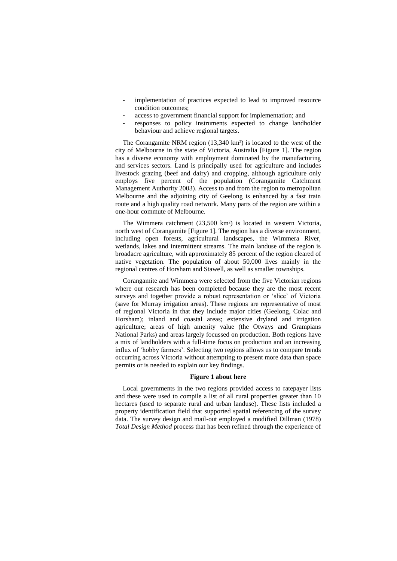- implementation of practices expected to lead to improved resource condition outcomes;
- access to government financial support for implementation; and
- responses to policy instruments expected to change landholder behaviour and achieve regional targets.

The Corangamite NRM region (13,340 km²) is located to the west of the city of Melbourne in the state of Victoria, Australia [Figure 1]. The region has a diverse economy with employment dominated by the manufacturing and services sectors. Land is principally used for agriculture and includes livestock grazing (beef and dairy) and cropping, although agriculture only employs five percent of the population (Corangamite Catchment Management Authority 2003). Access to and from the region to metropolitan Melbourne and the adjoining city of Geelong is enhanced by a fast train route and a high quality road network. Many parts of the region are within a one-hour commute of Melbourne.

The Wimmera catchment (23,500 km²) is located in western Victoria, north west of Corangamite [Figure 1]. The region has a diverse environment, including open forests, agricultural landscapes, the Wimmera River, wetlands, lakes and intermittent streams. The main landuse of the region is broadacre agriculture, with approximately 85 percent of the region cleared of native vegetation. The population of about 50,000 lives mainly in the regional centres of Horsham and Stawell, as well as smaller townships.

Corangamite and Wimmera were selected from the five Victorian regions where our research has been completed because they are the most recent surveys and together provide a robust representation or 'slice' of Victoria (save for Murray irrigation areas). These regions are representative of most of regional Victoria in that they include major cities (Geelong, Colac and Horsham); inland and coastal areas; extensive dryland and irrigation agriculture; areas of high amenity value (the Otways and Grampians National Parks) and areas largely focussed on production. Both regions have a mix of landholders with a full-time focus on production and an increasing influx of 'hobby farmers'. Selecting two regions allows us to compare trends occurring across Victoria without attempting to present more data than space permits or is needed to explain our key findings.

#### **Figure 1 about here**

Local governments in the two regions provided access to ratepayer lists and these were used to compile a list of all rural properties greater than 10 hectares (used to separate rural and urban landuse). These lists included a property identification field that supported spatial referencing of the survey data. The survey design and mail-out employed a modified Dillman (1978) *Total Design Method* process that has been refined through the experience of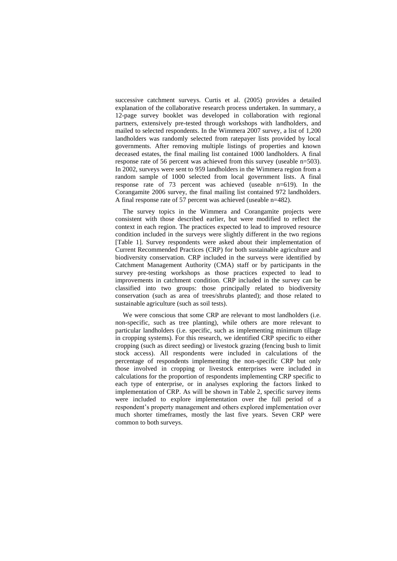successive catchment surveys. Curtis et al. (2005) provides a detailed explanation of the collaborative research process undertaken. In summary, a 12-page survey booklet was developed in collaboration with regional partners, extensively pre-tested through workshops with landholders, and mailed to selected respondents. In the Wimmera 2007 survey, a list of 1,200 landholders was randomly selected from ratepayer lists provided by local governments. After removing multiple listings of properties and known deceased estates, the final mailing list contained 1000 landholders. A final response rate of 56 percent was achieved from this survey (useable n=503). In 2002, surveys were sent to 959 landholders in the Wimmera region from a random sample of 1000 selected from local government lists. A final response rate of 73 percent was achieved (useable n=619). In the Corangamite 2006 survey, the final mailing list contained 972 landholders. A final response rate of 57 percent was achieved (useable n=482).

The survey topics in the Wimmera and Corangamite projects were consistent with those described earlier, but were modified to reflect the context in each region. The practices expected to lead to improved resource condition included in the surveys were slightly different in the two regions [Table 1]. Survey respondents were asked about their implementation of Current Recommended Practices (CRP) for both sustainable agriculture and biodiversity conservation. CRP included in the surveys were identified by Catchment Management Authority (CMA) staff or by participants in the survey pre-testing workshops as those practices expected to lead to improvements in catchment condition. CRP included in the survey can be classified into two groups: those principally related to biodiversity conservation (such as area of trees/shrubs planted); and those related to sustainable agriculture (such as soil tests).

We were conscious that some CRP are relevant to most landholders (i.e. non-specific, such as tree planting), while others are more relevant to particular landholders (i.e. specific, such as implementing minimum tillage in cropping systems). For this research, we identified CRP specific to either cropping (such as direct seeding) or livestock grazing (fencing bush to limit stock access). All respondents were included in calculations of the percentage of respondents implementing the non-specific CRP but only those involved in cropping or livestock enterprises were included in calculations for the proportion of respondents implementing CRP specific to each type of enterprise, or in analyses exploring the factors linked to implementation of CRP. As will be shown in Table 2, specific survey items were included to explore implementation over the full period of a respondent's property management and others explored implementation over much shorter timeframes, mostly the last five years. Seven CRP were common to both surveys.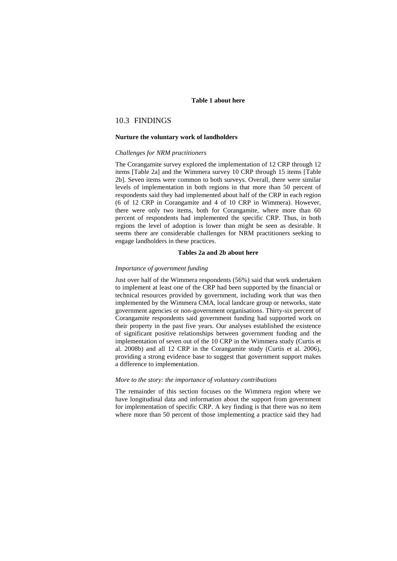### **Table 1 about here**

# 10.3 FINDINGS

#### **Nurture the voluntary work of landholders**

#### *Challenges for NRM practitioners*

The Corangamite survey explored the implementation of 12 CRP through 12 items [Table 2a] and the Wimmera survey 10 CRP through 15 items [Table 2b]. Seven items were common to both surveys. Overall, there were similar levels of implementation in both regions in that more than 50 percent of respondents said they had implemented about half of the CRP in each region (6 of 12 CRP in Corangamite and 4 of 10 CRP in Wimmera). However, there were only two items, both for Corangamite, where more than 60 percent of respondents had implemented the specific CRP. Thus, in both regions the level of adoption is lower than might be seen as desirable. It seems there are considerable challenges for NRM practitioners seeking to engage landholders in these practices.

#### **Tables 2a and 2b about here**

#### *Importance of government funding*

Just over half of the Wimmera respondents (56%) said that work undertaken to implement at least one of the CRP had been supported by the financial or technical resources provided by government, including work that was then implemented by the Wimmera CMA, local landcare group or networks, state government agencies or non-government organisations. Thirty-six percent of Corangamite respondents said government funding had supported work on their property in the past five years. Our analyses established the existence of significant positive relationships between government funding and the implementation of seven out of the 10 CRP in the Wimmera study (Curtis et al. 2008b) and all 12 CRP in the Corangamite study (Curtis et al. 2006), providing a strong evidence base to suggest that government support makes a difference to implementation.

#### *More to the story: the importance of voluntary contributions*

The remainder of this section focuses on the Wimmera region where we have longitudinal data and information about the support from government for implementation of specific CRP. A key finding is that there was no item where more than 50 percent of those implementing a practice said they had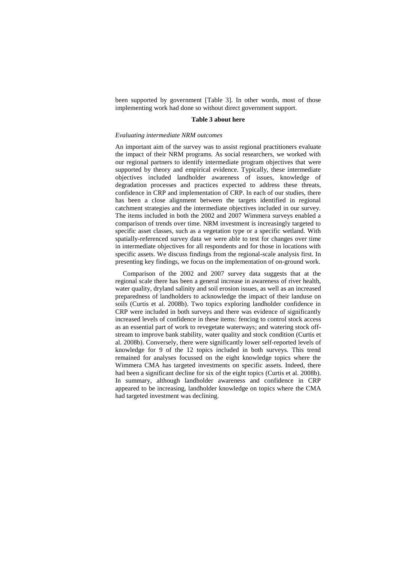been supported by government [Table 3]. In other words, most of those implementing work had done so without direct government support.

#### **Table 3 about here**

#### *Evaluating intermediate NRM outcomes*

An important aim of the survey was to assist regional practitioners evaluate the impact of their NRM programs. As social researchers, we worked with our regional partners to identify intermediate program objectives that were supported by theory and empirical evidence. Typically, these intermediate objectives included landholder awareness of issues, knowledge of degradation processes and practices expected to address these threats, confidence in CRP and implementation of CRP. In each of our studies, there has been a close alignment between the targets identified in regional catchment strategies and the intermediate objectives included in our survey. The items included in both the 2002 and 2007 Wimmera surveys enabled a comparison of trends over time. NRM investment is increasingly targeted to specific asset classes, such as a vegetation type or a specific wetland. With spatially-referenced survey data we were able to test for changes over time in intermediate objectives for all respondents and for those in locations with specific assets. We discuss findings from the regional-scale analysis first. In presenting key findings, we focus on the implementation of on-ground work.

Comparison of the 2002 and 2007 survey data suggests that at the regional scale there has been a general increase in awareness of river health, water quality, dryland salinity and soil erosion issues, as well as an increased preparedness of landholders to acknowledge the impact of their landuse on soils (Curtis et al. 2008b). Two topics exploring landholder confidence in CRP were included in both surveys and there was evidence of significantly increased levels of confidence in these items: fencing to control stock access as an essential part of work to revegetate waterways; and watering stock offstream to improve bank stability, water quality and stock condition (Curtis et al. 2008b). Conversely, there were significantly lower self-reported levels of knowledge for 9 of the 12 topics included in both surveys. This trend remained for analyses focussed on the eight knowledge topics where the Wimmera CMA has targeted investments on specific assets. Indeed, there had been a significant decline for six of the eight topics (Curtis et al. 2008b). In summary, although landholder awareness and confidence in CRP appeared to be increasing, landholder knowledge on topics where the CMA had targeted investment was declining.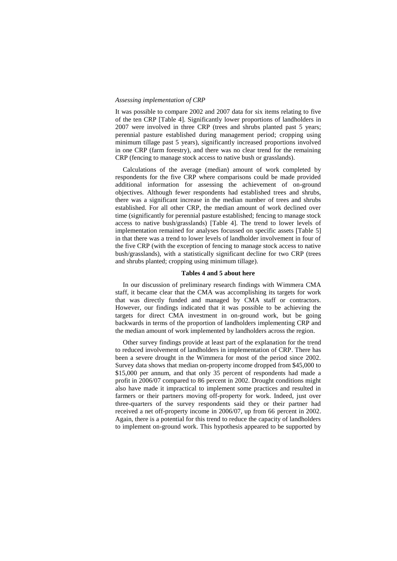#### *Assessing implementation of CRP*

It was possible to compare 2002 and 2007 data for six items relating to five of the ten CRP [Table 4]. Significantly lower proportions of landholders in 2007 were involved in three CRP (trees and shrubs planted past 5 years; perennial pasture established during management period; cropping using minimum tillage past 5 years), significantly increased proportions involved in one CRP (farm forestry), and there was no clear trend for the remaining CRP (fencing to manage stock access to native bush or grasslands).

Calculations of the average (median) amount of work completed by respondents for the five CRP where comparisons could be made provided additional information for assessing the achievement of on-ground objectives. Although fewer respondents had established trees and shrubs, there was a significant increase in the median number of trees and shrubs established. For all other CRP, the median amount of work declined over time (significantly for perennial pasture established; fencing to manage stock access to native bush/grasslands) [Table 4]. The trend to lower levels of implementation remained for analyses focussed on specific assets [Table 5] in that there was a trend to lower levels of landholder involvement in four of the five CRP (with the exception of fencing to manage stock access to native bush/grasslands), with a statistically significant decline for two CRP (trees and shrubs planted; cropping using minimum tillage).

#### **Tables 4 and 5 about here**

In our discussion of preliminary research findings with Wimmera CMA staff, it became clear that the CMA was accomplishing its targets for work that was directly funded and managed by CMA staff or contractors. However, our findings indicated that it was possible to be achieving the targets for direct CMA investment in on-ground work, but be going backwards in terms of the proportion of landholders implementing CRP and the median amount of work implemented by landholders across the region.

Other survey findings provide at least part of the explanation for the trend to reduced involvement of landholders in implementation of CRP. There has been a severe drought in the Wimmera for most of the period since 2002. Survey data shows that median on-property income dropped from \$45,000 to \$15,000 per annum, and that only 35 percent of respondents had made a profit in 2006/07 compared to 86 percent in 2002. Drought conditions might also have made it impractical to implement some practices and resulted in farmers or their partners moving off-property for work. Indeed, just over three-quarters of the survey respondents said they or their partner had received a net off-property income in 2006/07, up from 66 percent in 2002. Again, there is a potential for this trend to reduce the capacity of landholders to implement on-ground work. This hypothesis appeared to be supported by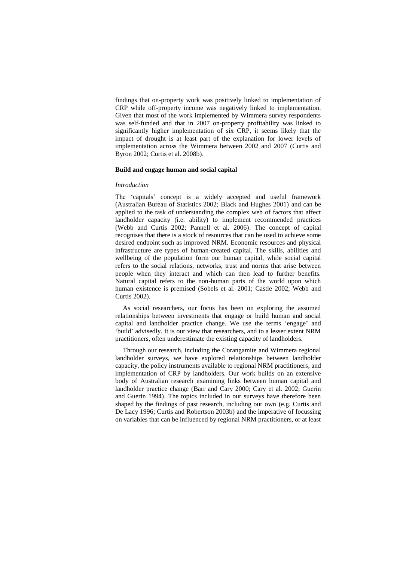findings that on-property work was positively linked to implementation of CRP while off-property income was negatively linked to implementation. Given that most of the work implemented by Wimmera survey respondents was self-funded and that in 2007 on-property profitability was linked to significantly higher implementation of six CRP, it seems likely that the impact of drought is at least part of the explanation for lower levels of implementation across the Wimmera between 2002 and 2007 (Curtis and Byron 2002; Curtis et al. 2008b).

#### **Build and engage human and social capital**

#### *Introduction*

The 'capitals' concept is a widely accepted and useful framework (Australian Bureau of Statistics 2002; Black and Hughes 2001) and can be applied to the task of understanding the complex web of factors that affect landholder capacity (i.e. ability) to implement recommended practices (Webb and Curtis 2002; Pannell et al. 2006). The concept of capital recognises that there is a stock of resources that can be used to achieve some desired endpoint such as improved NRM. Economic resources and physical infrastructure are types of human-created capital. The skills, abilities and wellbeing of the population form our human capital, while social capital refers to the social relations, networks, trust and norms that arise between people when they interact and which can then lead to further benefits. Natural capital refers to the non-human parts of the world upon which human existence is premised (Sobels et al. 2001; Castle 2002; Webb and Curtis 2002).

As social researchers, our focus has been on exploring the assumed relationships between investments that engage or build human and social capital and landholder practice change. We use the terms ‗engage' and ‗build' advisedly. It is our view that researchers, and to a lesser extent NRM practitioners, often underestimate the existing capacity of landholders.

Through our research, including the Corangamite and Wimmera regional landholder surveys, we have explored relationships between landholder capacity, the policy instruments available to regional NRM practitioners, and implementation of CRP by landholders. Our work builds on an extensive body of Australian research examining links between human capital and landholder practice change (Barr and Cary 2000; Cary et al. 2002; Guerin and Guerin 1994). The topics included in our surveys have therefore been shaped by the findings of past research, including our own (e.g. Curtis and De Lacy 1996; Curtis and Robertson 2003b) and the imperative of focussing on variables that can be influenced by regional NRM practitioners, or at least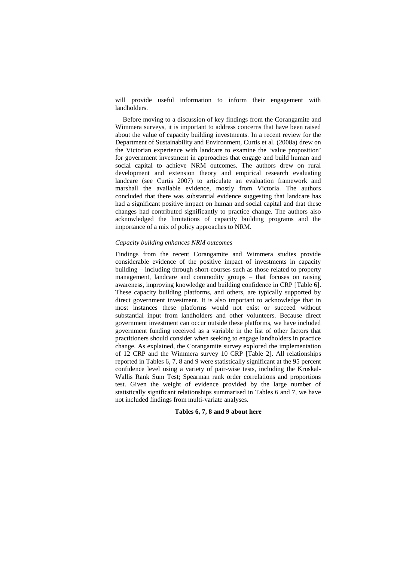will provide useful information to inform their engagement with landholders.

Before moving to a discussion of key findings from the Corangamite and Wimmera surveys, it is important to address concerns that have been raised about the value of capacity building investments. In a recent review for the Department of Sustainability and Environment, Curtis et al. (2008a) drew on the Victorian experience with landcare to examine the 'value proposition' for government investment in approaches that engage and build human and social capital to achieve NRM outcomes. The authors drew on rural development and extension theory and empirical research evaluating landcare (see Curtis 2007) to articulate an evaluation framework and marshall the available evidence, mostly from Victoria. The authors concluded that there was substantial evidence suggesting that landcare has had a significant positive impact on human and social capital and that these changes had contributed significantly to practice change. The authors also acknowledged the limitations of capacity building programs and the importance of a mix of policy approaches to NRM.

#### *Capacity building enhances NRM outcomes*

Findings from the recent Corangamite and Wimmera studies provide considerable evidence of the positive impact of investments in capacity building – including through short-courses such as those related to property management, landcare and commodity groups – that focuses on raising awareness, improving knowledge and building confidence in CRP [Table 6]. These capacity building platforms, and others, are typically supported by direct government investment. It is also important to acknowledge that in most instances these platforms would not exist or succeed without substantial input from landholders and other volunteers. Because direct government investment can occur outside these platforms, we have included government funding received as a variable in the list of other factors that practitioners should consider when seeking to engage landholders in practice change. As explained, the Corangamite survey explored the implementation of 12 CRP and the Wimmera survey 10 CRP [Table 2]. All relationships reported in Tables 6, 7, 8 and 9 were statistically significant at the 95 percent confidence level using a variety of pair-wise tests, including the Kruskal-Wallis Rank Sum Test; Spearman rank order correlations and proportions test. Given the weight of evidence provided by the large number of statistically significant relationships summarised in Tables 6 and 7, we have not included findings from multi-variate analyses.

#### **Tables 6, 7, 8 and 9 about here**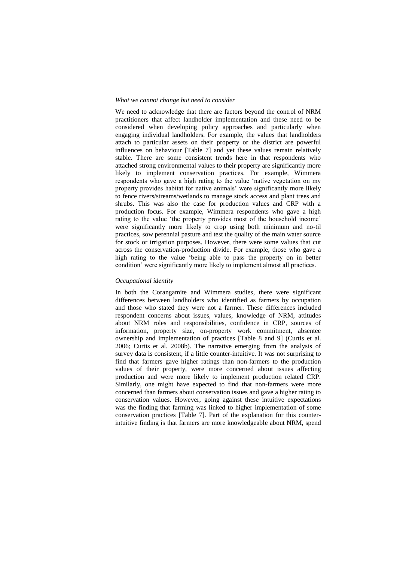#### *What we cannot change but need to consider*

We need to acknowledge that there are factors beyond the control of NRM practitioners that affect landholder implementation and these need to be considered when developing policy approaches and particularly when engaging individual landholders. For example, the values that landholders attach to particular assets on their property or the district are powerful influences on behaviour [Table 7] and yet these values remain relatively stable. There are some consistent trends here in that respondents who attached strong environmental values to their property are significantly more likely to implement conservation practices. For example, Wimmera respondents who gave a high rating to the value 'native vegetation on my property provides habitat for native animals' were significantly more likely to fence rivers/streams/wetlands to manage stock access and plant trees and shrubs. This was also the case for production values and CRP with a production focus. For example, Wimmera respondents who gave a high rating to the value 'the property provides most of the household income' were significantly more likely to crop using both minimum and no-til practices, sow perennial pasture and test the quality of the main water source for stock or irrigation purposes. However, there were some values that cut across the conservation-production divide. For example, those who gave a high rating to the value 'being able to pass the property on in better condition' were significantly more likely to implement almost all practices.

#### *Occupational identity*

In both the Corangamite and Wimmera studies, there were significant differences between landholders who identified as farmers by occupation and those who stated they were not a farmer. These differences included respondent concerns about issues, values, knowledge of NRM, attitudes about NRM roles and responsibilities, confidence in CRP, sources of information, property size, on-property work commitment, absentee ownership and implementation of practices [Table 8 and 9] (Curtis et al. 2006; Curtis et al. 2008b). The narrative emerging from the analysis of survey data is consistent, if a little counter-intuitive. It was not surprising to find that farmers gave higher ratings than non-farmers to the production values of their property, were more concerned about issues affecting production and were more likely to implement production related CRP. Similarly, one might have expected to find that non-farmers were more concerned than farmers about conservation issues and gave a higher rating to conservation values. However, going against these intuitive expectations was the finding that farming was linked to higher implementation of some conservation practices [Table 7]. Part of the explanation for this counterintuitive finding is that farmers are more knowledgeable about NRM, spend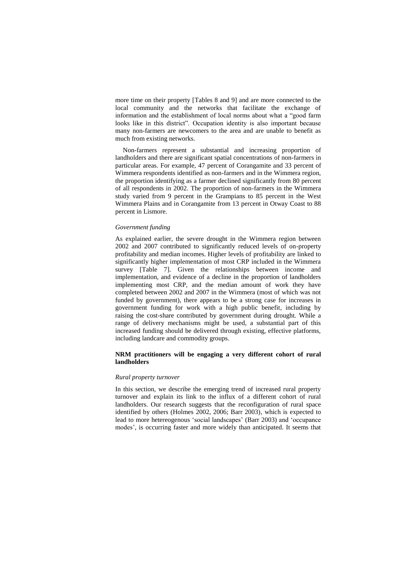more time on their property [Tables 8 and 9] and are more connected to the local community and the networks that facilitate the exchange of information and the establishment of local norms about what a "good farm" looks like in this district". Occupation identity is also important because many non-farmers are newcomers to the area and are unable to benefit as much from existing networks.

Non-farmers represent a substantial and increasing proportion of landholders and there are significant spatial concentrations of non-farmers in particular areas. For example, 47 percent of Corangamite and 33 percent of Wimmera respondents identified as non-farmers and in the Wimmera region, the proportion identifying as a farmer declined significantly from 80 percent of all respondents in 2002. The proportion of non-farmers in the Wimmera study varied from 9 percent in the Grampians to 85 percent in the West Wimmera Plains and in Corangamite from 13 percent in Otway Coast to 88 percent in Lismore.

#### *Government funding*

As explained earlier, the severe drought in the Wimmera region between 2002 and 2007 contributed to significantly reduced levels of on-property profitability and median incomes. Higher levels of profitability are linked to significantly higher implementation of most CRP included in the Wimmera survey [Table 7]. Given the relationships between income and implementation, and evidence of a decline in the proportion of landholders implementing most CRP, and the median amount of work they have completed between 2002 and 2007 in the Wimmera (most of which was not funded by government), there appears to be a strong case for increases in government funding for work with a high public benefit, including by raising the cost-share contributed by government during drought. While a range of delivery mechanisms might be used, a substantial part of this increased funding should be delivered through existing, effective platforms, including landcare and commodity groups.

### **NRM practitioners will be engaging a very different cohort of rural landholders**

#### *Rural property turnover*

In this section, we describe the emerging trend of increased rural property turnover and explain its link to the influx of a different cohort of rural landholders. Our research suggests that the reconfiguration of rural space identified by others (Holmes 2002, 2006; Barr 2003), which is expected to lead to more hetereogenous 'social landscapes' (Barr 2003) and 'occupance modes', is occurring faster and more widely than anticipated. It seems that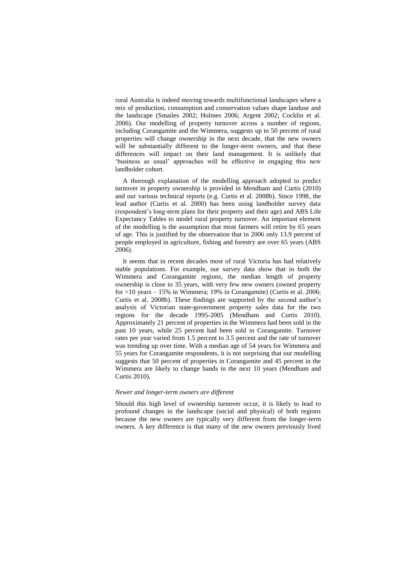rural Australia is indeed moving towards multifunctional landscapes where a mix of production, consumption and conservation values shape landuse and the landscape (Smailes 2002; Holmes 2006; Argent 2002; Cocklin et al. 2006). Our modelling of property turnover across a number of regions, including Corangamite and the Wimmera, suggests up to 50 percent of rural properties will change ownership in the next decade, that the new owners will be substantially different to the longer-term owners, and that these differences will impact on their land management. It is unlikely that 'business as usual' approaches will be effective in engaging this new landholder cohort.

A thorough explanation of the modelling approach adopted to predict turnover in property ownership is provided in Mendham and Curtis (2010) and our various technical reports (e.g. Curtis et al. 2008b). Since 1998, the lead author (Curtis et al. 2000) has been using landholder survey data (respondent's long-term plans for their property and their age) and ABS Life Expectancy Tables to model rural property turnover. An important element of the modelling is the assumption that most farmers will retire by 65 years of age. This is justified by the observation that in 2006 only 13.9 percent of people employed in agriculture, fishing and forestry are over 65 years (ABS 2006).

It seems that in recent decades most of rural Victoria has had relatively stable populations. For example, our survey data show that in both the Wimmera and Corangamite regions, the median length of property ownership is close to 35 years, with very few new owners (owned property for <10 years – 15% in Wimmera; 19% in Corangamite) (Curtis et al. 2006; Curtis et al. 2008b). These findings are supported by the second author's analysis of Victorian state-government property sales data for the two regions for the decade 1995-2005 (Mendham and Curtis 2010). Approximately 21 percent of properties in the Wimmera had been sold in the past 10 years, while 25 percent had been sold in Corangamite. Turnover rates per year varied from 1.5 percent to 3.5 percent and the rate of turnover was trending up over time. With a median age of 54 years for Wimmera and 55 years for Corangamite respondents, it is not surprising that our modelling suggests that 50 percent of properties in Corangamite and 45 percent in the Wimmera are likely to change hands in the next 10 years (Mendham and Curtis 2010).

#### *Newer and longer-term owners are different*

Should this high level of ownership turnover occur, it is likely to lead to profound changes in the landscape (social and physical) of both regions because the new owners are typically very different from the longer-term owners. A key difference is that many of the new owners previously lived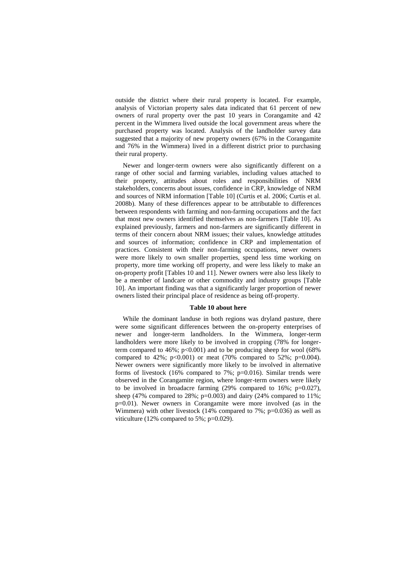outside the district where their rural property is located. For example, analysis of Victorian property sales data indicated that 61 percent of new owners of rural property over the past 10 years in Corangamite and 42 percent in the Wimmera lived outside the local government areas where the purchased property was located. Analysis of the landholder survey data suggested that a majority of new property owners (67% in the Corangamite and 76% in the Wimmera) lived in a different district prior to purchasing their rural property.

Newer and longer-term owners were also significantly different on a range of other social and farming variables, including values attached to their property, attitudes about roles and responsibilities of NRM stakeholders, concerns about issues, confidence in CRP, knowledge of NRM and sources of NRM information [Table 10] (Curtis et al. 2006; Curtis et al. 2008b). Many of these differences appear to be attributable to differences between respondents with farming and non-farming occupations and the fact that most new owners identified themselves as non-farmers [Table 10]. As explained previously, farmers and non-farmers are significantly different in terms of their concern about NRM issues; their values, knowledge attitudes and sources of information; confidence in CRP and implementation of practices. Consistent with their non-farming occupations, newer owners were more likely to own smaller properties, spend less time working on property, more time working off property, and were less likely to make an on-property profit [Tables 10 and 11]. Newer owners were also less likely to be a member of landcare or other commodity and industry groups [Table 10]. An important finding was that a significantly larger proportion of newer owners listed their principal place of residence as being off-property.

#### **Table 10 about here**

While the dominant landuse in both regions was dryland pasture, there were some significant differences between the on-property enterprises of newer and longer-term landholders. In the Wimmera, longer-term landholders were more likely to be involved in cropping (78% for longerterm compared to  $46\%$ ;  $p<0.001$ ) and to be producing sheep for wool (68%) compared to 42%;  $p<0.001$ ) or meat (70% compared to 52%;  $p=0.004$ ). Newer owners were significantly more likely to be involved in alternative forms of livestock (16% compared to 7%; p=0.016). Similar trends were observed in the Corangamite region, where longer-term owners were likely to be involved in broadacre farming (29% compared to 16%; p=0.027), sheep (47% compared to 28%;  $p=0.003$ ) and dairy (24% compared to 11%; p=0.01). Newer owners in Corangamite were more involved (as in the Wimmera) with other livestock (14% compared to  $7\%$ ; p=0.036) as well as viticulture (12% compared to 5%; p=0.029).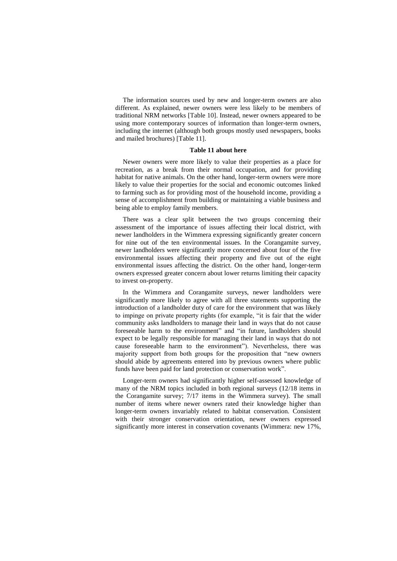The information sources used by new and longer-term owners are also different. As explained, newer owners were less likely to be members of traditional NRM networks [Table 10]. Instead, newer owners appeared to be using more contemporary sources of information than longer-term owners, including the internet (although both groups mostly used newspapers, books and mailed brochures) [Table 11].

#### **Table 11 about here**

Newer owners were more likely to value their properties as a place for recreation, as a break from their normal occupation, and for providing habitat for native animals. On the other hand, longer-term owners were more likely to value their properties for the social and economic outcomes linked to farming such as for providing most of the household income, providing a sense of accomplishment from building or maintaining a viable business and being able to employ family members.

There was a clear split between the two groups concerning their assessment of the importance of issues affecting their local district, with newer landholders in the Wimmera expressing significantly greater concern for nine out of the ten environmental issues. In the Corangamite survey, newer landholders were significantly more concerned about four of the five environmental issues affecting their property and five out of the eight environmental issues affecting the district. On the other hand, longer-term owners expressed greater concern about lower returns limiting their capacity to invest on-property.

In the Wimmera and Corangamite surveys, newer landholders were significantly more likely to agree with all three statements supporting the introduction of a landholder duty of care for the environment that was likely to impinge on private property rights (for example, "it is fair that the wider community asks landholders to manage their land in ways that do not cause foreseeable harm to the environment" and "in future, landholders should expect to be legally responsible for managing their land in ways that do not cause foreseeable harm to the environment"). Nevertheless, there was majority support from both groups for the proposition that "new owners" should abide by agreements entered into by previous owners where public funds have been paid for land protection or conservation work".

Longer-term owners had significantly higher self-assessed knowledge of many of the NRM topics included in both regional surveys (12/18 items in the Corangamite survey; 7/17 items in the Wimmera survey). The small number of items where newer owners rated their knowledge higher than longer-term owners invariably related to habitat conservation. Consistent with their stronger conservation orientation, newer owners expressed significantly more interest in conservation covenants (Wimmera: new 17%,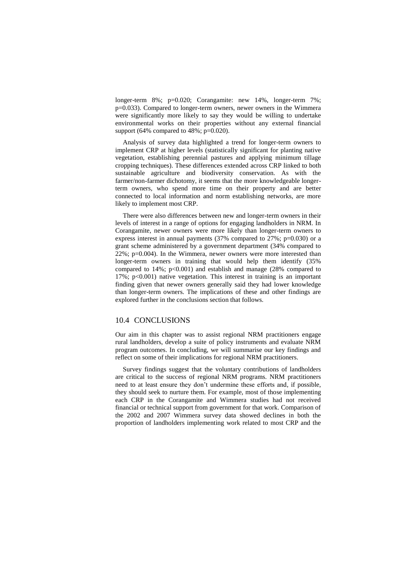longer-term 8%; p=0.020; Corangamite: new 14%, longer-term 7%; p=0.033). Compared to longer-term owners, newer owners in the Wimmera were significantly more likely to say they would be willing to undertake environmental works on their properties without any external financial support (64% compared to  $48\%$ ; p=0.020).

Analysis of survey data highlighted a trend for longer-term owners to implement CRP at higher levels (statistically significant for planting native vegetation, establishing perennial pastures and applying minimum tillage cropping techniques). These differences extended across CRP linked to both sustainable agriculture and biodiversity conservation. As with the farmer/non-farmer dichotomy, it seems that the more knowledgeable longerterm owners, who spend more time on their property and are better connected to local information and norm establishing networks, are more likely to implement most CRP.

There were also differences between new and longer-term owners in their levels of interest in a range of options for engaging landholders in NRM. In Corangamite, newer owners were more likely than longer-term owners to express interest in annual payments (37% compared to 27%; p=0.030) or a grant scheme administered by a government department (34% compared to 22%; p=0.004). In the Wimmera, newer owners were more interested than longer-term owners in training that would help them identify (35% compared to  $14\%$ ;  $p<0.001$ ) and establish and manage (28% compared to 17%; p<0.001) native vegetation. This interest in training is an important finding given that newer owners generally said they had lower knowledge than longer-term owners. The implications of these and other findings are explored further in the conclusions section that follows.

## 10.4 CONCLUSIONS

Our aim in this chapter was to assist regional NRM practitioners engage rural landholders, develop a suite of policy instruments and evaluate NRM program outcomes. In concluding, we will summarise our key findings and reflect on some of their implications for regional NRM practitioners.

Survey findings suggest that the voluntary contributions of landholders are critical to the success of regional NRM programs. NRM practitioners need to at least ensure they don't undermine these efforts and, if possible, they should seek to nurture them. For example, most of those implementing each CRP in the Corangamite and Wimmera studies had not received financial or technical support from government for that work. Comparison of the 2002 and 2007 Wimmera survey data showed declines in both the proportion of landholders implementing work related to most CRP and the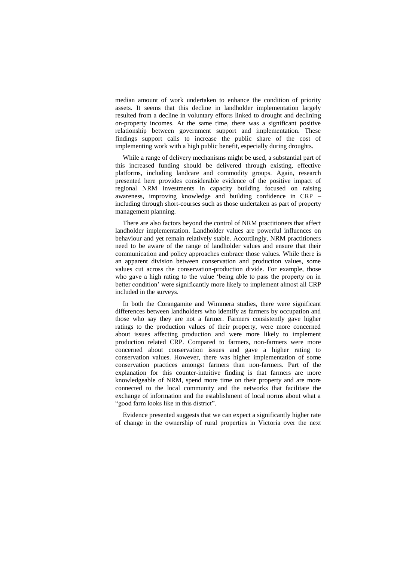median amount of work undertaken to enhance the condition of priority assets. It seems that this decline in landholder implementation largely resulted from a decline in voluntary efforts linked to drought and declining on-property incomes. At the same time, there was a significant positive relationship between government support and implementation. These findings support calls to increase the public share of the cost of implementing work with a high public benefit, especially during droughts.

While a range of delivery mechanisms might be used, a substantial part of this increased funding should be delivered through existing, effective platforms, including landcare and commodity groups. Again, research presented here provides considerable evidence of the positive impact of regional NRM investments in capacity building focused on raising awareness, improving knowledge and building confidence in CRP – including through short-courses such as those undertaken as part of property management planning.

There are also factors beyond the control of NRM practitioners that affect landholder implementation. Landholder values are powerful influences on behaviour and yet remain relatively stable. Accordingly, NRM practitioners need to be aware of the range of landholder values and ensure that their communication and policy approaches embrace those values. While there is an apparent division between conservation and production values, some values cut across the conservation-production divide. For example, those who gave a high rating to the value 'being able to pass the property on in better condition' were significantly more likely to implement almost all CRP included in the surveys.

In both the Corangamite and Wimmera studies, there were significant differences between landholders who identify as farmers by occupation and those who say they are not a farmer. Farmers consistently gave higher ratings to the production values of their property, were more concerned about issues affecting production and were more likely to implement production related CRP. Compared to farmers, non-farmers were more concerned about conservation issues and gave a higher rating to conservation values. However, there was higher implementation of some conservation practices amongst farmers than non-farmers. Part of the explanation for this counter-intuitive finding is that farmers are more knowledgeable of NRM, spend more time on their property and are more connected to the local community and the networks that facilitate the exchange of information and the establishment of local norms about what a "good farm looks like in this district".

Evidence presented suggests that we can expect a significantly higher rate of change in the ownership of rural properties in Victoria over the next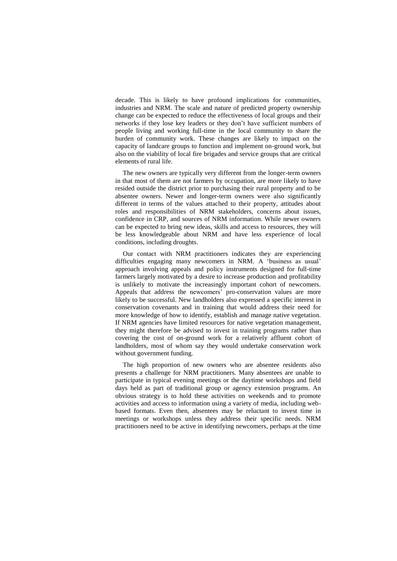decade. This is likely to have profound implications for communities, industries and NRM. The scale and nature of predicted property ownership change can be expected to reduce the effectiveness of local groups and their networks if they lose key leaders or they don't have sufficient numbers of people living and working full-time in the local community to share the burden of community work. These changes are likely to impact on the capacity of landcare groups to function and implement on-ground work, but also on the viability of local fire brigades and service groups that are critical elements of rural life.

The new owners are typically very different from the longer-term owners in that most of them are not farmers by occupation, are more likely to have resided outside the district prior to purchasing their rural property and to be absentee owners. Newer and longer-term owners were also significantly different in terms of the values attached to their property, attitudes about roles and responsibilities of NRM stakeholders, concerns about issues, confidence in CRP, and sources of NRM information. While newer owners can be expected to bring new ideas, skills and access to resources, they will be less knowledgeable about NRM and have less experience of local conditions, including droughts.

Our contact with NRM practitioners indicates they are experiencing difficulties engaging many newcomers in NRM. A ‗business as usual' approach involving appeals and policy instruments designed for full-time farmers largely motivated by a desire to increase production and profitability is unlikely to motivate the increasingly important cohort of newcomers. Appeals that address the newcomers' pro-conservation values are more likely to be successful. New landholders also expressed a specific interest in conservation covenants and in training that would address their need for more knowledge of how to identify, establish and manage native vegetation. If NRM agencies have limited resources for native vegetation management, they might therefore be advised to invest in training programs rather than covering the cost of on-ground work for a relatively affluent cohort of landholders, most of whom say they would undertake conservation work without government funding.

The high proportion of new owners who are absentee residents also presents a challenge for NRM practitioners. Many absentees are unable to participate in typical evening meetings or the daytime workshops and field days held as part of traditional group or agency extension programs. An obvious strategy is to hold these activities on weekends and to promote activities and access to information using a variety of media, including webbased formats. Even then, absentees may be reluctant to invest time in meetings or workshops unless they address their specific needs. NRM practitioners need to be active in identifying newcomers, perhaps at the time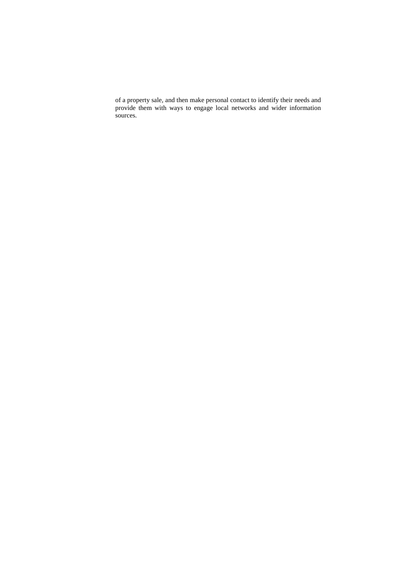of a property sale, and then make personal contact to identify their needs and provide them with ways to engage local networks and wider information sources.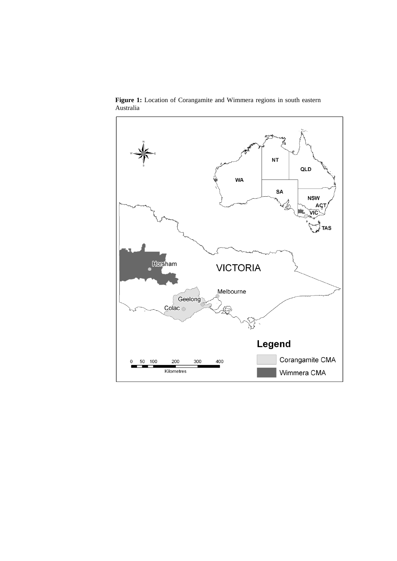

Figure 1: Location of Corangamite and Wimmera regions in south eastern Australia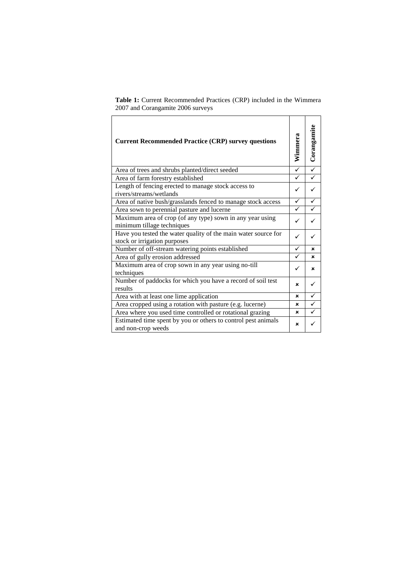| <b>Current Recommended Practice (CRP) survey questions</b>                                     | Wimmera                 | Corangamite             |
|------------------------------------------------------------------------------------------------|-------------------------|-------------------------|
| Area of trees and shrubs planted/direct seeded                                                 | $\overline{\checkmark}$ | $\overline{\checkmark}$ |
| Area of farm forestry established                                                              | ✓                       |                         |
| Length of fencing erected to manage stock access to<br>rivers/streams/wetlands                 | ✓                       |                         |
| Area of native bush/grasslands fenced to manage stock access                                   | ✓                       |                         |
| Area sown to perennial pasture and lucerne                                                     | ✓                       |                         |
| Maximum area of crop (of any type) sown in any year using<br>minimum tillage techniques        |                         |                         |
| Have you tested the water quality of the main water source for<br>stock or irrigation purposes | ✓                       |                         |
| Number of off-stream watering points established                                               | ✓                       | ×                       |
| Area of gully erosion addressed                                                                | ✓                       | ×                       |
| Maximum area of crop sown in any year using no-till<br>techniques                              | ✓                       | ×                       |
| Number of paddocks for which you have a record of soil test<br>results                         | ×                       |                         |
| Area with at least one lime application                                                        | ×                       |                         |
| Area cropped using a rotation with pasture (e.g. lucerne)                                      | ×                       | ✓                       |
| Area where you used time controlled or rotational grazing                                      | ×                       |                         |
| Estimated time spent by you or others to control pest animals<br>and non-crop weeds            | ×                       |                         |

**Table 1:** Current Recommended Practices (CRP) included in the Wimmera 2007 and Corangamite 2006 surveys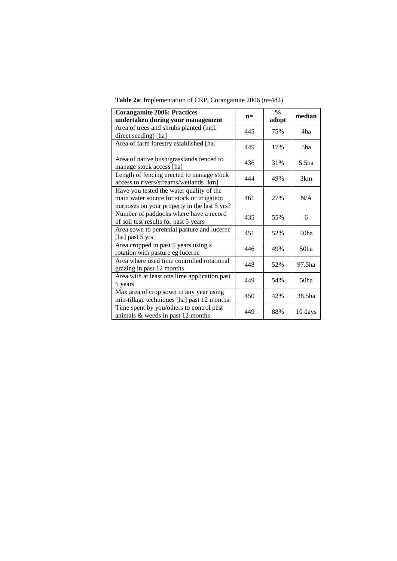| <b>Corangamite 2006: Practices</b><br>undertaken during your management                                                               | $n=$ | $\frac{0}{0}$<br>adopt | median            |
|---------------------------------------------------------------------------------------------------------------------------------------|------|------------------------|-------------------|
| Area of trees and shrubs planted (incl.<br>direct seeding) [ha]                                                                       | 445  | 75%                    | 4ha               |
| Area of farm forestry established [ha]                                                                                                | 449  | 17%                    | 5ha               |
| Area of native bush/grasslands fenced to<br>manage stock access [ha]                                                                  | 436  | 31%                    | 5.5 <sub>ha</sub> |
| Length of fencing erected to manage stock<br>access to rivers/streams/wetlands [km]                                                   | 444  | 49%                    | 3km               |
| Have you tested the water quality of the<br>main water source for stock or irrigation<br>purposes on your property in the last 5 yrs? | 461  | 27%                    | N/A               |
| Number of paddocks where have a record<br>of soil test results for past 5 years                                                       | 435  | 55%                    | 6                 |
| Area sown to perennial pasture and lucerne<br>[ha] past 5 yrs                                                                         | 451  | 52%                    | 40 <sub>ha</sub>  |
| Area cropped in past 5 years using a<br>rotation with pasture eg lucerne                                                              | 446  | 49%                    | 50ha              |
| Area where used time controlled rotational<br>grazing in past 12 months                                                               | 448  | 52%                    | 97.5ha            |
| Area with at least one lime application past<br>5 years                                                                               | 449  | 54%                    | 50 <sub>ha</sub>  |
| Max area of crop sown in any year using<br>min-tillage techniques [ha] past 12 months                                                 | 450  | 42%                    | 38.5ha            |
| Time spent by you/others to control pest<br>animals & weeds in past 12 months                                                         | 449  | 88%                    | 10 days           |

**Table 2a**: Implementation of CRP, Corangamite 2006 (n=482)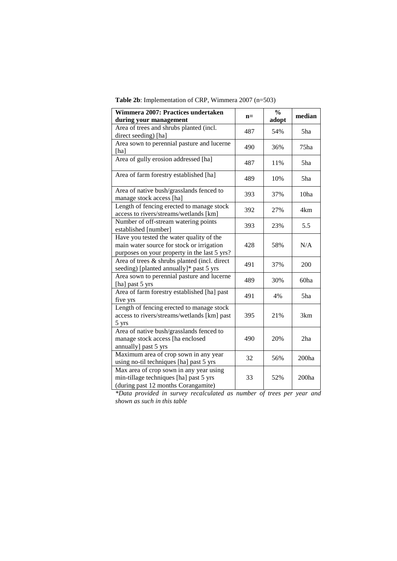| Wimmera 2007: Practices undertaken<br>during your management                             | $n=$ | $\frac{0}{0}$<br>adopt | median            |
|------------------------------------------------------------------------------------------|------|------------------------|-------------------|
| Area of trees and shrubs planted (incl.                                                  |      |                        |                   |
| direct seeding) [ha]                                                                     | 487  | 54%                    | 5ha               |
| Area sown to perennial pasture and lucerne                                               |      |                        |                   |
| [ha]                                                                                     | 490  | 36%                    | 75ha              |
| Area of gully erosion addressed [ha]                                                     | 487  | 11%                    | 5ha               |
| Area of farm forestry established [ha]                                                   | 489  | 10%                    | 5ha               |
| Area of native bush/grasslands fenced to                                                 | 393  | 37%                    | 10ha              |
| manage stock access [ha]                                                                 |      |                        |                   |
| Length of fencing erected to manage stock<br>access to rivers/streams/wetlands [km]      | 392  | 27%                    | 4km               |
| Number of off-stream watering points                                                     | 393  | 23%                    | 5.5               |
| established [number]                                                                     |      |                        |                   |
| Have you tested the water quality of the                                                 |      |                        |                   |
| main water source for stock or irrigation                                                | 428  | 58%                    | N/A               |
| purposes on your property in the last 5 yrs?                                             |      |                        |                   |
| Area of trees & shrubs planted (incl. direct<br>seeding) [planted annually]* past 5 yrs  | 491  | 37%                    | 200               |
| Area sown to perennial pasture and lucerne<br>[ha] past 5 yrs                            | 489  | 30%                    | 60ha              |
| Area of farm forestry established [ha] past                                              | 491  | 4%                     | 5ha               |
| five yrs                                                                                 |      |                        |                   |
| Length of fencing erected to manage stock<br>access to rivers/streams/wetlands [km] past | 395  | 21%                    | 3km               |
| 5 yrs                                                                                    |      |                        |                   |
| Area of native bush/grasslands fenced to                                                 |      |                        |                   |
| manage stock access [ha enclosed                                                         | 490  | 20%                    | $2\mathrm{ha}$    |
| annually] past 5 yrs                                                                     |      |                        |                   |
| Maximum area of crop sown in any year                                                    | 32   |                        |                   |
| using no-til techniques [ha] past 5 yrs                                                  |      | 56%                    | 200 <sub>ha</sub> |
| Max area of crop sown in any year using                                                  |      |                        |                   |
| min-tillage techniques [ha] past 5 yrs                                                   | 33   | 52%                    | 200ha             |
| (during past 12 months Corangamite)                                                      |      |                        |                   |

*\*Data provided in survey recalculated as number of trees per year and shown as such in this table*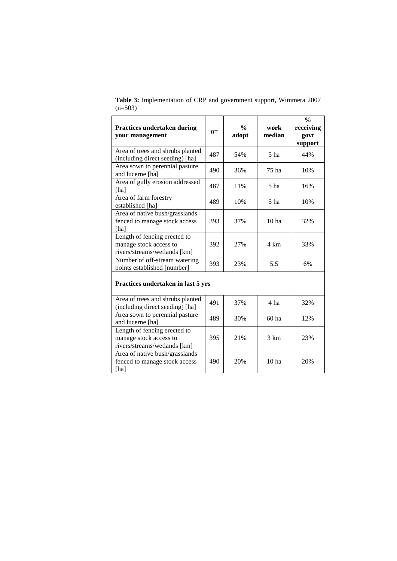| <b>Practices undertaken during</b><br>your management                                  | $n=$ | $\frac{0}{0}$<br>adopt | work<br>median   | $\frac{0}{0}$<br>receiving<br>govt<br>support |
|----------------------------------------------------------------------------------------|------|------------------------|------------------|-----------------------------------------------|
| Area of trees and shrubs planted<br>(including direct seeding) [ha]                    | 487  | 54%                    | 5 <sub>ha</sub>  | 44%                                           |
| Area sown to perennial pasture<br>and lucerne [ha]                                     | 490  | 36%                    | 75 ha            | 10%                                           |
| Area of gully erosion addressed<br>[ha]                                                | 487  | 11%                    | 5 <sub>ha</sub>  | 16%                                           |
| Area of farm forestry<br>established [ha]                                              | 489  | 10%                    | 5 <sub>ha</sub>  | 10%                                           |
| Area of native bush/grasslands<br>fenced to manage stock access<br>[ha]                | 393  | 37%                    | 10 <sub>ha</sub> | 32%                                           |
| Length of fencing erected to<br>manage stock access to<br>rivers/streams/wetlands [km] | 392  | 27%                    | 4 km             | 33%                                           |
| Number of off-stream watering<br>points established [number]                           | 393  | 23%                    | 5.5              | 6%                                            |
| Practices undertaken in last 5 yrs                                                     |      |                        |                  |                                               |
| Area of trees and shrubs planted<br>(including direct seeding) [ha]                    | 491  | 37%                    | 4 ha             | 32%                                           |
| Area sown to perennial pasture<br>and lucerne [ha]                                     | 489  | 30%                    | $60$ ha          | 12%                                           |
| Length of fencing erected to<br>manage stock access to<br>rivers/streams/wetlands [km] | 395  | 21%                    | 3 km             | 23%                                           |
| Area of native bush/grasslands<br>fenced to manage stock access<br>[ha]                | 490  | 20%                    | 10 <sub>ha</sub> | 20%                                           |

**Table 3:** Implementation of CRP and government support, Wimmera 2007  $(n=503)$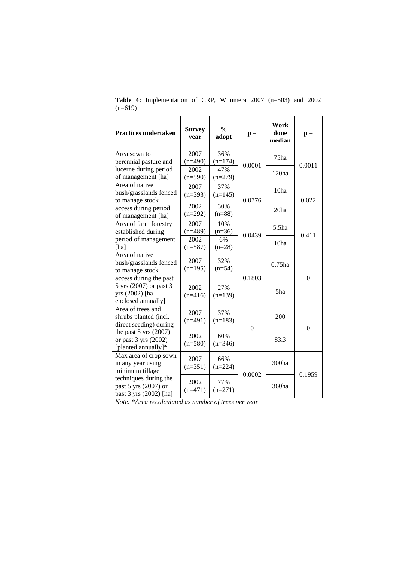| <b>Practices undertaken</b>                   | <b>Survey</b><br>year | $\frac{0}{0}$<br>adopt | $\mathbf{p} =$ | Work<br>done<br>median | $\mathbf{p} =$   |
|-----------------------------------------------|-----------------------|------------------------|----------------|------------------------|------------------|
| Area sown to                                  | 2007                  | 36%                    |                | 75 <sub>ha</sub>       |                  |
| perennial pasture and                         | $(n=490)$<br>2002     | $(n=174)$<br>47%       | 0.0001         |                        | 0.0011           |
| lucerne during period<br>of management [ha]   | $(n=590)$             | $(n=279)$              |                | 120 <sub>ha</sub>      |                  |
| Area of native                                |                       |                        |                |                        |                  |
| bush/grasslands fenced                        | 2007                  | 37%                    |                | 10ha                   |                  |
| to manage stock                               | $(n=393)$             | $(n=145)$              | 0.0776         |                        | 0.022            |
| access during period                          | 2002                  | 30%                    |                | 20ha                   |                  |
| of management [ha]                            | $(n=292)$             | $(n=88)$               |                |                        |                  |
| Area of farm forestry                         | 2007                  | 10%                    |                | 5.5 <sub>ha</sub>      |                  |
| established during                            | $(n=489)$             | $(n=36)$               | 0.0439         |                        | 0.411            |
| period of management                          | 2002                  | 6%                     |                | 10ha                   |                  |
| [ha]                                          | $(n=587)$             | $(n=28)$               |                |                        |                  |
| Area of native                                | 2007                  | 32%                    |                |                        |                  |
| bush/grasslands fenced<br>to manage stock     | $(n=195)$             | $(n=54)$               |                | $0.75$ ha              |                  |
| access during the past                        |                       |                        | 0.1803         |                        | $\boldsymbol{0}$ |
| 5 yrs (2007) or past 3                        |                       |                        |                |                        |                  |
| yrs (2002) [ha                                | 2002                  | 27%                    |                | 5ha                    |                  |
| enclosed annually]                            | $(n=416)$             | $(n=139)$              |                |                        |                  |
| Area of trees and                             | 2007                  | 37%                    |                |                        |                  |
| shrubs planted (incl.                         | $(n=491)$             | $(n=183)$              |                | 200                    |                  |
| direct seeding) during                        |                       |                        | $\theta$       |                        | $\overline{0}$   |
| the past $5$ yrs $(2007)$                     | 2002                  | 60%                    |                |                        |                  |
| or past 3 yrs (2002)                          | $(n=580)$             | $(n=346)$              |                | 83.3                   |                  |
| [planted annually]*                           |                       |                        |                |                        |                  |
| Max area of crop sown                         | 2007                  | 66%                    |                |                        |                  |
| in any year using                             | $(n=351)$             | $(n=224)$              |                | 300ha                  |                  |
| minimum tillage                               |                       |                        | 0.0002         |                        | 0.1959           |
| techniques during the<br>past 5 yrs (2007) or | 2002                  | 77%                    |                | 360ha                  |                  |
| past 3 yrs (2002) [ha]                        | $(n=471)$             | $(n=271)$              |                |                        |                  |
|                                               |                       |                        |                |                        |                  |

**Table 4:** Implementation of CRP, Wimmera 2007 (n=503) and 2002  $(n=619)$ 

*Note: \*Area recalculated as number of trees per year*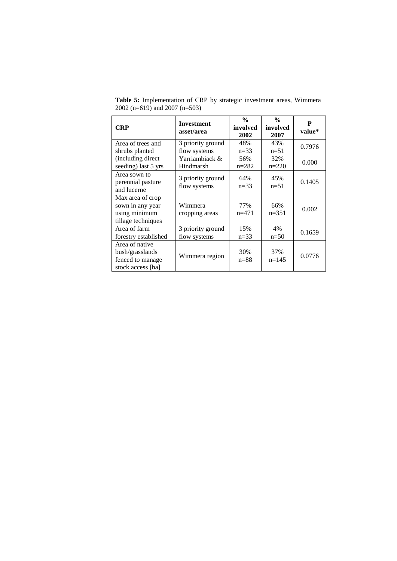| <b>CRP</b>                                                                  | <b>Investment</b><br>asset/area   | $\frac{0}{0}$<br>involved<br>2002 | $\frac{0}{0}$<br>involved<br>2007 | P<br>value* |
|-----------------------------------------------------------------------------|-----------------------------------|-----------------------------------|-----------------------------------|-------------|
| Area of trees and<br>shrubs planted                                         | 3 priority ground<br>flow systems | 48%<br>$n=33$                     | 43%<br>$n=51$                     | 0.7976      |
| (including direct)<br>seeding) last 5 yrs                                   | Yarriambiack &<br>Hindmarsh       | 56%<br>$n=282$                    | 32%<br>$n=220$                    | 0.000       |
| Area sown to<br>perennial pasture<br>and lucerne                            | 3 priority ground<br>flow systems | 64%<br>$n=33$                     | 45%<br>$n=51$                     | 0.1405      |
| Max area of crop<br>sown in any year<br>using minimum<br>tillage techniques | Wimmera<br>cropping areas         | 77%<br>$n=471$                    | 66%<br>$n=351$                    | 0.002       |
| Area of farm<br>forestry established                                        | 3 priority ground<br>flow systems | 15%<br>$n=33$                     | 4%<br>$n=50$                      | 0.1659      |
| Area of native<br>bush/grasslands<br>fenced to manage<br>stock access [ha]  | Wimmera region                    | 30%<br>$n=88$                     | 37%<br>$n=145$                    | 0.0776      |

**Table 5:** Implementation of CRP by strategic investment areas, Wimmera 2002 (n=619) and 2007 (n=503)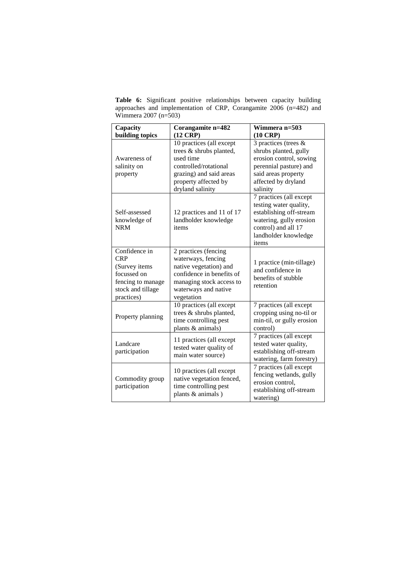**Table 6:** Significant positive relationships between capacity building approaches and implementation of CRP, Corangamite 2006 (n=482) and Wimmera 2007 (n=503)

| Capacity<br>building topics                                                                                                             | Corangamite n=482<br>$(12$ CRP $)$                                                                                                                                  | Wimmera n=503<br>$(10 \text{ CRP})$                                                                                                                             |
|-----------------------------------------------------------------------------------------------------------------------------------------|---------------------------------------------------------------------------------------------------------------------------------------------------------------------|-----------------------------------------------------------------------------------------------------------------------------------------------------------------|
| Awareness of<br>salinity on<br>property                                                                                                 | 10 practices (all except<br>trees & shrubs planted,<br>used time<br>controlled/rotational<br>grazing) and said areas<br>property affected by<br>dryland salinity    | 3 practices (trees $&$<br>shrubs planted, gully<br>erosion control, sowing<br>perennial pasture) and<br>said areas property<br>affected by dryland<br>salinity  |
| Self-assessed<br>knowledge of<br><b>NRM</b>                                                                                             | 12 practices and 11 of 17<br>landholder knowledge<br>items                                                                                                          | 7 practices (all except<br>testing water quality,<br>establishing off-stream<br>watering, gully erosion<br>control) and all 17<br>landholder knowledge<br>items |
| $\overline{\text{Confidence}}$ in<br><b>CRP</b><br>(Survey items<br>focussed on<br>fencing to manage<br>stock and tillage<br>practices) | 2 practices (fencing<br>waterways, fencing<br>native vegetation) and<br>confidence in benefits of<br>managing stock access to<br>waterways and native<br>vegetation | 1 practice (min-tillage)<br>and confidence in<br>benefits of stubble<br>retention                                                                               |
| Property planning                                                                                                                       | 10 practices (all except<br>trees & shrubs planted,<br>time controlling pest<br>plants & animals)                                                                   | 7 practices (all except<br>cropping using no-til or<br>min-til, or gully erosion<br>control)                                                                    |
| Landcare<br>participation                                                                                                               | 11 practices (all except<br>tested water quality of<br>main water source)                                                                                           | 7 practices (all except<br>tested water quality,<br>establishing off-stream<br>watering, farm forestry)                                                         |
| Commodity group<br>participation                                                                                                        | 10 practices (all except<br>native vegetation fenced,<br>time controlling pest<br>plants & animals)                                                                 | 7 practices (all except<br>fencing wetlands, gully<br>erosion control.<br>establishing off-stream<br>watering)                                                  |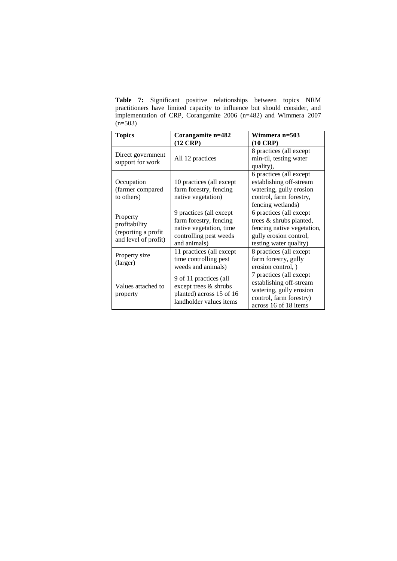**Table 7:** Significant positive relationships between topics NRM practitioners have limited capacity to influence but should consider, and implementation of CRP, Corangamite 2006 (n=482) and Wimmera 2007  $(n=503)$ 

| <b>Topics</b>        | Corangamite n=482        | <b>Wimmera n=503</b>       |
|----------------------|--------------------------|----------------------------|
|                      | $(12$ CRP $)$            | $(10 \text{ CRP})$         |
| Direct government    |                          | 8 practices (all except    |
| support for work     | All 12 practices         | min-til, testing water     |
|                      |                          | quality),                  |
|                      |                          | 6 practices (all except    |
| Occupation           | 10 practices (all except | establishing off-stream    |
| (farmer compared     | farm forestry, fencing   | watering, gully erosion    |
| to others)           | native vegetation)       | control, farm forestry,    |
|                      |                          | fencing wetlands)          |
| Property             | 9 practices (all except  | 6 practices (all except    |
| profitability        | farm forestry, fencing   | trees & shrubs planted,    |
| (reporting a profit  | native vegetation, time  | fencing native vegetation, |
| and level of profit) | controlling pest weeds   | gully erosion control,     |
|                      | and animals)             | testing water quality)     |
| Property size        | 11 practices (all except | 8 practices (all except    |
| (larger)             | time controlling pest    | farm forestry, gully       |
|                      | weeds and animals)       | erosion control, )         |
|                      | 9 of 11 practices (all   | 7 practices (all except    |
| Values attached to   | except trees & shrubs    | establishing off-stream    |
|                      | planted) across 15 of 16 | watering, gully erosion    |
| property             | landholder values items  | control, farm forestry)    |
|                      |                          | across 16 of 18 items      |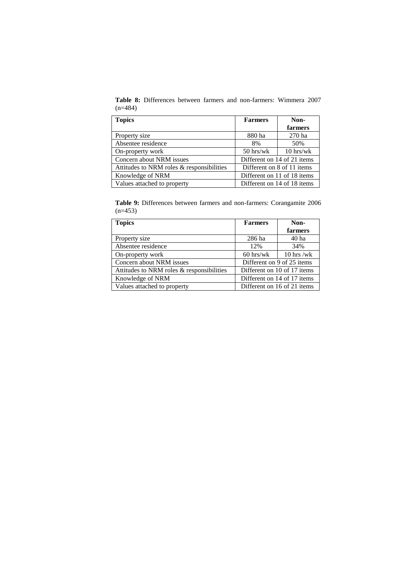**Table 8:** Differences between farmers and non-farmers: Wimmera 2007  $(n=484)$ 

| <b>Topics</b>                             | <b>Farmers</b>              | Non-                        |  |
|-------------------------------------------|-----------------------------|-----------------------------|--|
|                                           |                             | farmers                     |  |
| Property size                             | 880 ha                      | 270 ha                      |  |
| Absentee residence                        | 8%                          | 50%                         |  |
| On-property work                          | $50$ hrs/wk                 | $10$ hrs/wk                 |  |
| Concern about NRM issues                  | Different on 14 of 21 items |                             |  |
| Attitudes to NRM roles & responsibilities | Different on 8 of 11 items  |                             |  |
| Knowledge of NRM                          | Different on 11 of 18 items |                             |  |
| Values attached to property               |                             | Different on 14 of 18 items |  |

**Table 9:** Differences between farmers and non-farmers: Corangamite 2006  $(n=453)$ 

| <b>Topics</b>                             | <b>Farmers</b>              | Non-             |  |
|-------------------------------------------|-----------------------------|------------------|--|
|                                           |                             | farmers          |  |
| Property size                             | 286 ha                      | 40 <sub>ha</sub> |  |
| Absentee residence                        | 12%                         | 34%              |  |
| On-property work                          | $60$ hrs/wk                 | $10$ hrs /wk     |  |
| Concern about NRM issues                  | Different on 9 of 25 items  |                  |  |
| Attitudes to NRM roles & responsibilities | Different on 10 of 17 items |                  |  |
| Knowledge of NRM                          | Different on 14 of 17 items |                  |  |
| Values attached to property               | Different on 16 of 21 items |                  |  |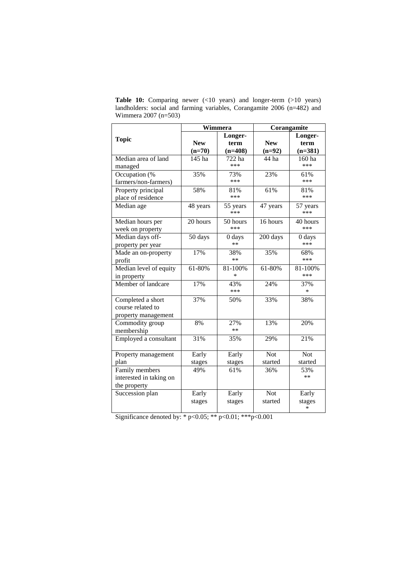|                         | Wimmera    |           | Corangamite |            |  |
|-------------------------|------------|-----------|-------------|------------|--|
|                         |            | Longer-   |             | Longer-    |  |
| <b>Topic</b>            | <b>New</b> | term      | <b>New</b>  | term       |  |
|                         | $(n=70)$   | $(n=408)$ | $(n=92)$    | $(n=381)$  |  |
| Median area of land     | 145 ha     | 722 ha    | 44 ha       | 160 ha     |  |
| managed                 |            | ***       |             | ***        |  |
| Occupation (%           | 35%        | 73%       | 23%         | 61%        |  |
| farmers/non-farmers)    |            | ***       |             | ***        |  |
| Property principal      | 58%        | 81%       | 61%         | 81%        |  |
| place of residence      |            | ***       |             | ***        |  |
| Median age              | 48 years   | 55 years  | 47 years    | 57 years   |  |
|                         |            | ***       |             | ***        |  |
| Median hours per        | 20 hours   | 50 hours  | 16 hours    | 40 hours   |  |
| week on property        |            | ***       |             | $***$      |  |
| Median days off-        | 50 days    | 0 days    | 200 days    | 0 days     |  |
| property per year       |            | **        |             | ***        |  |
| Made an on-property     | 17%        | 38%       | 35%         | 68%        |  |
| profit                  |            | $**$      |             | ***        |  |
| Median level of equity  | 61-80%     | 81-100%   | 61-80%      | 81-100%    |  |
| in property             |            | $\ast$    |             | ***        |  |
| Member of landcare      | 17%        | 43%       | 24%         | 37%        |  |
|                         |            | ***       |             | $\ast$     |  |
| Completed a short       | 37%        | 50%       | 33%         | 38%        |  |
| course related to       |            |           |             |            |  |
| property management     |            |           |             |            |  |
| Commodity group         | 8%         | 27%       | 13%         | 20%        |  |
| membership              |            | $**$      |             |            |  |
| Employed a consultant   | 31%        | 35%       | 29%         | 21%        |  |
|                         |            |           |             |            |  |
| Property management     | Early      | Early     | <b>Not</b>  | <b>Not</b> |  |
| plan                    | stages     | stages    | started     | started    |  |
| Family members          | 49%        | 61%       | 36%         | 53%        |  |
| interested in taking on |            |           |             | $**$       |  |
| the property            |            |           |             |            |  |
| Succession plan         | Early      | Early     | <b>Not</b>  | Early      |  |
|                         | stages     | stages    | started     | stages     |  |
|                         |            |           |             | ∗          |  |

Table 10: Comparing newer (<10 years) and longer-term (>10 years) landholders: social and farming variables, Corangamite 2006 (n=482) and Wimmera 2007 (n=503)

Significance denoted by: \* p<0.05; \*\* p<0.01; \*\*\* p<0.001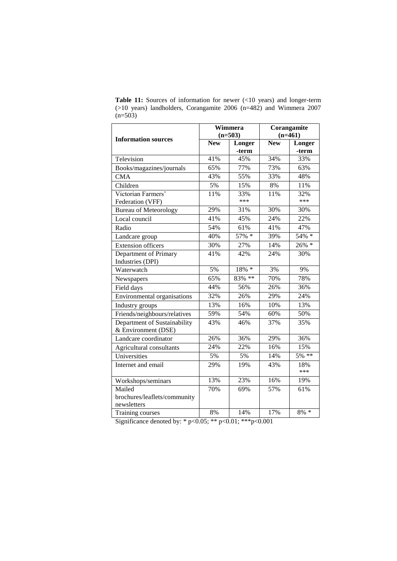| <b>Information sources</b>   | Wimmera<br>$(n=503)$ |          | Corangamite<br>$(n=461)$ |            |
|------------------------------|----------------------|----------|--------------------------|------------|
|                              | <b>New</b>           | Longer   | <b>New</b>               | Longer     |
|                              |                      | -term    |                          | -term      |
| Television                   | 41%                  | 45%      | 34%                      | 33%        |
| Books/magazines/journals     | 65%                  | 77%      | 73%                      | 63%        |
| <b>CMA</b>                   | 43%                  | 55%      | 33%                      | 48%        |
| Children                     | 5%                   | 15%      | 8%                       | 11%        |
| Victorian Farmers'           | 11%                  | 33%      | 11%                      | 32%        |
| Federation (VFF)             |                      | ***      |                          | ***        |
| <b>Bureau of Meteorology</b> | 29%                  | 31%      | 30%                      | 30%        |
| Local council                | 41%                  | 45%      | 24%                      | 22%        |
| Radio                        | 54%                  | 61%      | 41%                      | 47%        |
| Landcare group               | 40%                  | 57% *    | 39%                      | 54% *      |
| <b>Extension officers</b>    | 30%                  | 27%      | 14%                      | $26\%$ *   |
| Department of Primary        | 41%                  | 42%      | 24%                      | 30%        |
| Industries (DPI)             |                      |          |                          |            |
| Waterwatch                   | 5%                   | $18\%$ * | 3%                       | 9%         |
| Newspapers                   | 65%                  | 83% **   | 70%                      | 78%        |
| Field days                   | 44%                  | 56%      | 26%                      | 36%        |
| Environmental organisations  | 32%                  | 26%      | 29%                      | 24%        |
| Industry groups              | 13%                  | 16%      | 10%                      | 13%        |
| Friends/neighbours/relatives | 59%                  | 54%      | 60%                      | 50%        |
| Department of Sustainability | 43%                  | 46%      | 37%                      | 35%        |
| & Environment (DSE)          |                      |          |                          |            |
| Landcare coordinator         | 26%                  | 36%      | 29%                      | 36%        |
| Agricultural consultants     | 24%                  | 22%      | 16%                      | 15%        |
| Universities                 | 5%                   | 5%       | 14%                      | $5\%$ **   |
| Internet and email           | 29%                  | 19%      | 43%                      | 18%<br>*** |
| Workshops/seminars           | 13%                  | 23%      | 16%                      | 19%        |
| Mailed                       | 70%                  | 69%      | 57%                      | 61%        |
| brochures/leaflets/community |                      |          |                          |            |
| newsletters                  |                      |          |                          |            |
| Training courses             | 8%                   | 14%      | 17%                      | $8\% *$    |

**Table 11:** Sources of information for newer (<10 years) and longer-term (>10 years) landholders, Corangamite 2006 (n=482) and Wimmera 2007  $(n=503)$ 

Significance denoted by: \* p<0.05; \*\* p<0.01; \*\*\* p<0.001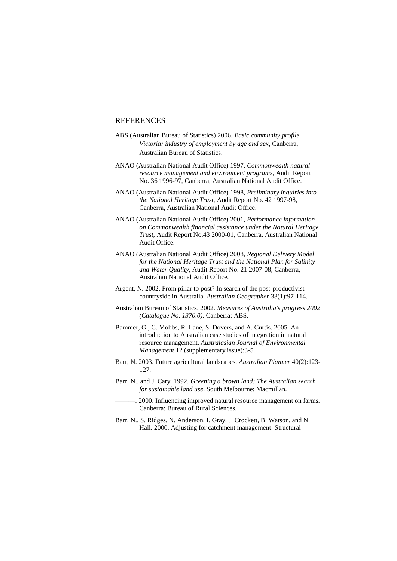# **REFERENCES**

- ABS (Australian Bureau of Statistics) 2006, *Basic community profile Victoria: industry of employment by age and sex,* Canberra, Australian Bureau of Statistics.
- ANAO (Australian National Audit Office) 1997, *Commonwealth natural resource management and environment programs*, Audit Report No. 36 1996-97, Canberra, Australian National Audit Office.
- ANAO (Australian National Audit Office) 1998, *Preliminary inquiries into the National Heritage Trust*, Audit Report No. 42 1997-98, Canberra, Australian National Audit Office.
- ANAO (Australian National Audit Office) 2001, *Performance information on Commonwealth financial assistance under the Natural Heritage Trust*, Audit Report No.43 2000-01, Canberra, Australian National Audit Office.
- ANAO (Australian National Audit Office) 2008, *Regional Delivery Model for the National Heritage Trust and the National Plan for Salinity and Water Quality*, Audit Report No. 21 2007-08, Canberra, Australian National Audit Office.
- Argent, N. 2002. From pillar to post? In search of the post-productivist countryside in Australia. *Australian Geographer* 33(1):97-114.
- Australian Bureau of Statistics. 2002. *Measures of Australia's progress 2002 (Catalogue No. 1370.0)*. Canberra: ABS.
- Bammer, G., C. Mobbs, R. Lane, S. Dovers, and A. Curtis. 2005. An introduction to Australian case studies of integration in natural resource management. *Australasian Journal of Environmental Management* 12 (supplementary issue):3-5.
- Barr, N. 2003. Future agricultural landscapes. *Australian Planner* 40(2):123- 127.
- Barr, N., and J. Cary. 1992. *Greening a brown land: The Australian search for sustainable land use*. South Melbourne: Macmillan.
- ———. 2000. Influencing improved natural resource management on farms. Canberra: Bureau of Rural Sciences.
- Barr, N., S. Ridges, N. Anderson, I. Gray, J. Crockett, B. Watson, and N. Hall. 2000. Adjusting for catchment management: Structural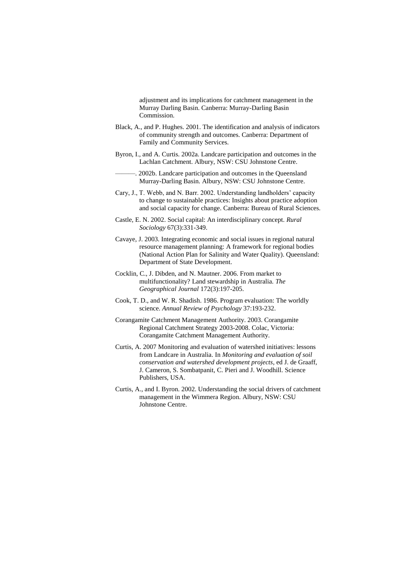adjustment and its implications for catchment management in the Murray Darling Basin. Canberra: Murray-Darling Basin Commission.

- Black, A., and P. Hughes. 2001. The identification and analysis of indicators of community strength and outcomes. Canberra: Department of Family and Community Services.
- Byron, I., and A. Curtis. 2002a. Landcare participation and outcomes in the Lachlan Catchment. Albury, NSW: CSU Johnstone Centre.
	- ———. 2002b. Landcare participation and outcomes in the Queensland Murray-Darling Basin. Albury, NSW: CSU Johnstone Centre.
- Cary, J., T. Webb, and N. Barr. 2002. Understanding landholders' capacity to change to sustainable practices: Insights about practice adoption and social capacity for change. Canberra: Bureau of Rural Sciences.
- Castle, E. N. 2002. Social capital: An interdisciplinary concept. *Rural Sociology* 67(3):331-349.
- Cavaye, J. 2003. Integrating economic and social issues in regional natural resource management planning: A framework for regional bodies (National Action Plan for Salinity and Water Quality). Queensland: Department of State Development.
- Cocklin, C., J. Dibden, and N. Mautner. 2006. From market to multifunctionality? Land stewardship in Australia. *The Geographical Journal* 172(3):197-205.
- Cook, T. D., and W. R. Shadish. 1986. Program evaluation: The worldly science. *Annual Review of Psychology* 37:193-232.
- Corangamite Catchment Management Authority. 2003. Corangamite Regional Catchment Strategy 2003-2008. Colac, Victoria: Corangamite Catchment Management Authority.
- Curtis, A. 2007 Monitoring and evaluation of watershed initiatives: lessons from Landcare in Australia. In *Monitoring and evaluation of soil conservation and watershed development projects*, ed J. de Graaff, J. Cameron, S. Sombatpanit, C. Pieri and J. Woodhill. Science Publishers, USA.
- Curtis, A., and I. Byron. 2002. Understanding the social drivers of catchment management in the Wimmera Region. Albury, NSW: CSU Johnstone Centre.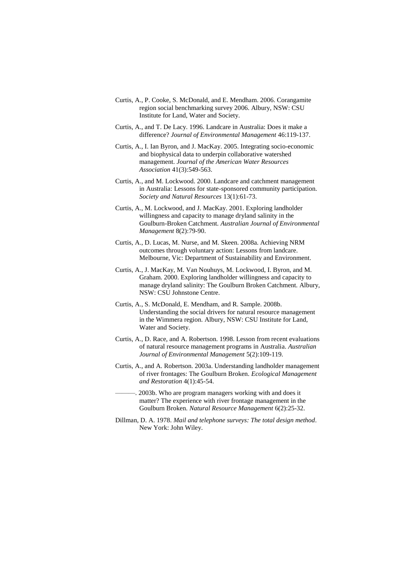- Curtis, A., P. Cooke, S. McDonald, and E. Mendham. 2006. Corangamite region social benchmarking survey 2006. Albury, NSW: CSU Institute for Land, Water and Society.
- Curtis, A., and T. De Lacy. 1996. Landcare in Australia: Does it make a difference? *Journal of Environmental Management* 46:119-137.
- Curtis, A., I. Ian Byron, and J. MacKay. 2005. Integrating socio-economic and biophysical data to underpin collaborative watershed management. *Journal of the American Water Resources Association* 41(3):549-563.
- Curtis, A., and M. Lockwood. 2000. Landcare and catchment management in Australia: Lessons for state-sponsored community participation. *Society and Natural Resources* 13(1):61-73.
- Curtis, A., M. Lockwood, and J. MacKay. 2001. Exploring landholder willingness and capacity to manage dryland salinity in the Goulburn-Broken Catchment. *Australian Journal of Environmental Management* 8(2):79-90.
- Curtis, A., D. Lucas, M. Nurse, and M. Skeen. 2008a. Achieving NRM outcomes through voluntary action: Lessons from landcare. Melbourne, Vic: Department of Sustainability and Environment.
- Curtis, A., J. MacKay, M. Van Nouhuys, M. Lockwood, I. Byron, and M. Graham. 2000. Exploring landholder willingness and capacity to manage dryland salinity: The Goulburn Broken Catchment. Albury, NSW: CSU Johnstone Centre.
- Curtis, A., S. McDonald, E. Mendham, and R. Sample. 2008b. Understanding the social drivers for natural resource management in the Wimmera region. Albury, NSW: CSU Institute for Land, Water and Society.
- Curtis, A., D. Race, and A. Robertson. 1998. Lesson from recent evaluations of natural resource management programs in Australia. *Australian Journal of Environmental Management* 5(2):109-119.
- Curtis, A., and A. Robertson. 2003a. Understanding landholder management of river frontages: The Goulburn Broken. *Ecological Management and Restoration* 4(1):45-54.
	- ———. 2003b. Who are program managers working with and does it matter? The experience with river frontage management in the Goulburn Broken. *Natural Resource Management* 6(2):25-32.
- Dillman, D. A. 1978. *Mail and telephone surveys: The total design method*. New York: John Wiley.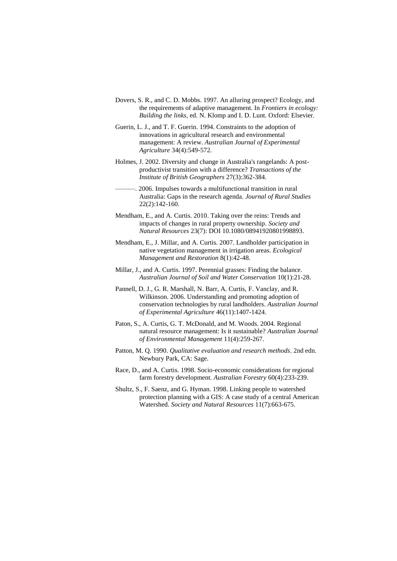- Dovers, S. R., and C. D. Mobbs. 1997. An alluring prospect? Ecology, and the requirements of adaptive management. In *Frontiers in ecology: Building the links*, ed. N. Klomp and I. D. Lunt. Oxford: Elsevier.
- Guerin, L. J., and T. F. Guerin. 1994. Constraints to the adoption of innovations in agricultural research and environmental management: A review. *Australian Journal of Experimental Agriculture* 34(4):549-572.
- Holmes, J. 2002. Diversity and change in Australia's rangelands: A postproductivist transition with a difference? *Transactions of the Institute of British Geographers* 27(3):362-384.
	- ———. 2006. Impulses towards a multifunctional transition in rural Australia: Gaps in the research agenda. *Journal of Rural Studies* 22(2):142-160.
- Mendham, E., and A. Curtis. 2010. Taking over the reins: Trends and impacts of changes in rural property ownership. *Society and Natural Resources* 23(7): DOI 10.1080/08941920801998893.
- Mendham, E., J. Millar, and A. Curtis. 2007. Landholder participation in native vegetation management in irrigation areas. *Ecological Management and Restoration* 8(1):42-48.
- Millar, J., and A. Curtis. 1997. Perennial grasses: Finding the balance. *Australian Journal of Soil and Water Conservation* 10(1):21-28.
- Pannell, D. J., G. R. Marshall, N. Barr, A. Curtis, F. Vanclay, and R. Wilkinson. 2006. Understanding and promoting adoption of conservation technologies by rural landholders. *Australian Journal of Experimental Agriculture* 46(11):1407-1424.
- Paton, S., A. Curtis, G. T. McDonald, and M. Woods. 2004. Regional natural resource management: Is it sustainable? *Australian Journal of Environmental Management* 11(4):259-267.
- Patton, M. Q. 1990. *Qualitative evaluation and research methods*. 2nd edn. Newbury Park, CA: Sage.
- Race, D., and A. Curtis. 1998. Socio-economic considerations for regional farm forestry development. *Australian Forestry* 60(4):233-239.
- Shultz, S., F. Saenz, and G. Hyman. 1998. Linking people to watershed protection planning with a GIS: A case study of a central American Watershed. *Society and Natural Resources* 11(7):663-675.